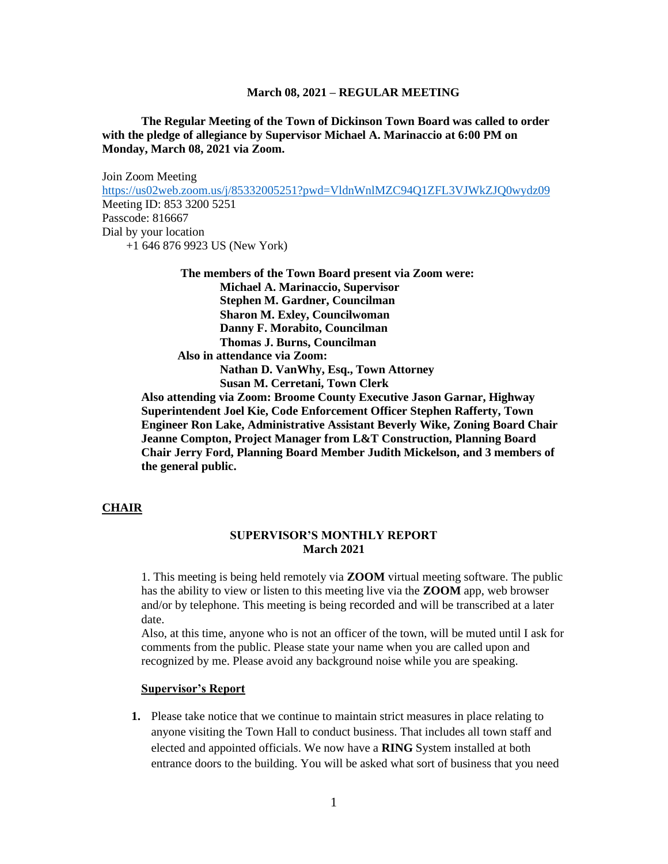**The Regular Meeting of the Town of Dickinson Town Board was called to order with the pledge of allegiance by Supervisor Michael A. Marinaccio at 6:00 PM on Monday, March 08, 2021 via Zoom.**

Join Zoom Meeting <https://us02web.zoom.us/j/85332005251?pwd=VldnWnlMZC94Q1ZFL3VJWkZJQ0wydz09> Meeting ID: 853 3200 5251 Passcode: 816667 Dial by your location +1 646 876 9923 US (New York)

**The members of the Town Board present via Zoom were: Michael A. Marinaccio, Supervisor Stephen M. Gardner, Councilman Sharon M. Exley, Councilwoman Danny F. Morabito, Councilman Thomas J. Burns, Councilman Also in attendance via Zoom: Nathan D. VanWhy, Esq., Town Attorney Susan M. Cerretani, Town Clerk Also attending via Zoom: Broome County Executive Jason Garnar, Highway** 

**Superintendent Joel Kie, Code Enforcement Officer Stephen Rafferty, Town Engineer Ron Lake, Administrative Assistant Beverly Wike, Zoning Board Chair Jeanne Compton, Project Manager from L&T Construction, Planning Board Chair Jerry Ford, Planning Board Member Judith Mickelson, and 3 members of the general public.**

#### **CHAIR**

## **SUPERVISOR'S MONTHLY REPORT March 2021**

1. This meeting is being held remotely via **ZOOM** virtual meeting software. The public has the ability to view or listen to this meeting live via the **ZOOM** app, web browser and/or by telephone. This meeting is being recorded and will be transcribed at a later date.

Also, at this time, anyone who is not an officer of the town, will be muted until I ask for comments from the public. Please state your name when you are called upon and recognized by me. Please avoid any background noise while you are speaking.

#### **Supervisor's Report**

**1.** Please take notice that we continue to maintain strict measures in place relating to anyone visiting the Town Hall to conduct business. That includes all town staff and elected and appointed officials. We now have a **RING** System installed at both entrance doors to the building. You will be asked what sort of business that you need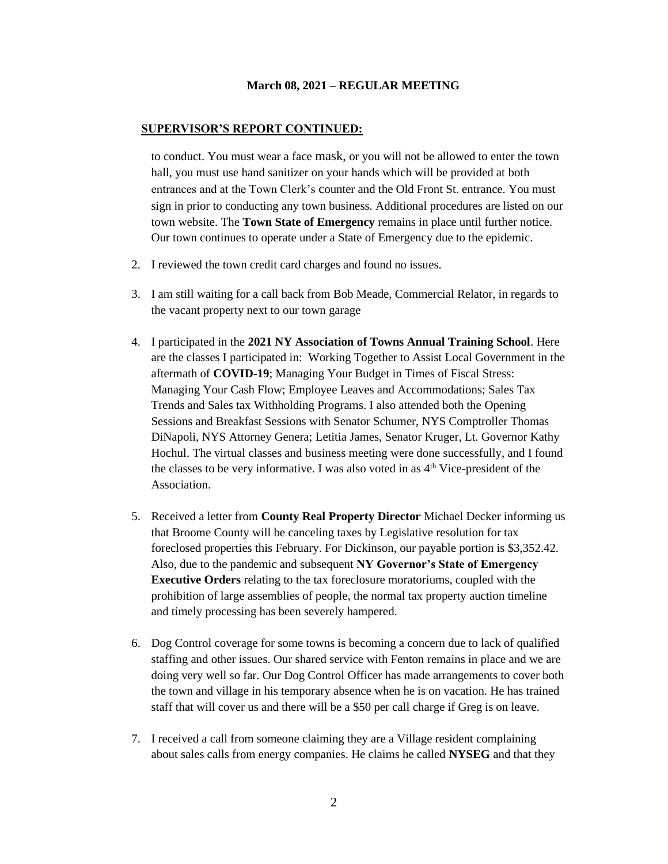#### **SUPERVISOR'S REPORT CONTINUED:**

to conduct. You must wear a face mask, or you will not be allowed to enter the town hall, you must use hand sanitizer on your hands which will be provided at both entrances and at the Town Clerk's counter and the Old Front St. entrance. You must sign in prior to conducting any town business. Additional procedures are listed on our town website. The **Town State of Emergency** remains in place until further notice. Our town continues to operate under a State of Emergency due to the epidemic.

- 2. I reviewed the town credit card charges and found no issues.
- 3. I am still waiting for a call back from Bob Meade, Commercial Relator, in regards to the vacant property next to our town garage
- 4. I participated in the **2021 NY Association of Towns Annual Training School**. Here are the classes I participated in: Working Together to Assist Local Government in the aftermath of **COVID-19**; Managing Your Budget in Times of Fiscal Stress: Managing Your Cash Flow; Employee Leaves and Accommodations; Sales Tax Trends and Sales tax Withholding Programs. I also attended both the Opening Sessions and Breakfast Sessions with Senator Schumer, NYS Comptroller Thomas DiNapoli, NYS Attorney Genera; Letitia James, Senator Kruger, Lt. Governor Kathy Hochul. The virtual classes and business meeting were done successfully, and I found the classes to be very informative. I was also voted in as  $4<sup>th</sup>$  Vice-president of the Association.
- 5. Received a letter from **County Real Property Director** Michael Decker informing us that Broome County will be canceling taxes by Legislative resolution for tax foreclosed properties this February. For Dickinson, our payable portion is \$3,352.42. Also, due to the pandemic and subsequent **NY Governor's State of Emergency Executive Orders** relating to the tax foreclosure moratoriums, coupled with the prohibition of large assemblies of people, the normal tax property auction timeline and timely processing has been severely hampered.
- 6. Dog Control coverage for some towns is becoming a concern due to lack of qualified staffing and other issues. Our shared service with Fenton remains in place and we are doing very well so far. Our Dog Control Officer has made arrangements to cover both the town and village in his temporary absence when he is on vacation. He has trained staff that will cover us and there will be a \$50 per call charge if Greg is on leave.
- 7. I received a call from someone claiming they are a Village resident complaining about sales calls from energy companies. He claims he called **NYSEG** and that they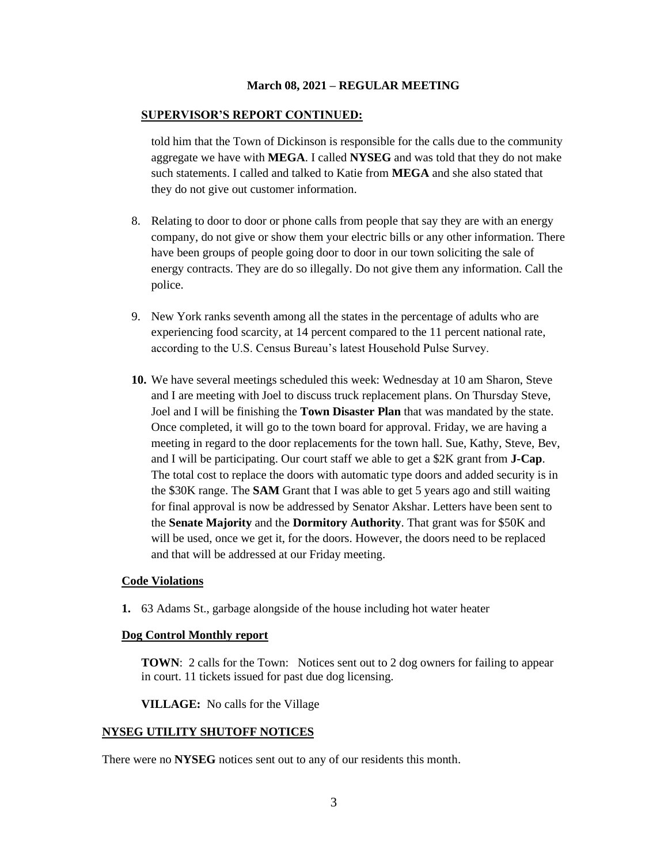#### **SUPERVISOR'S REPORT CONTINUED:**

told him that the Town of Dickinson is responsible for the calls due to the community aggregate we have with **MEGA**. I called **NYSEG** and was told that they do not make such statements. I called and talked to Katie from **MEGA** and she also stated that they do not give out customer information.

- 8. Relating to door to door or phone calls from people that say they are with an energy company, do not give or show them your electric bills or any other information. There have been groups of people going door to door in our town soliciting the sale of energy contracts. They are do so illegally. Do not give them any information. Call the police.
- 9. New York ranks seventh among all the states in the percentage of adults who are experiencing food scarcity, at 14 percent compared to the 11 percent national rate, according to the U.S. Census Bureau's latest Household Pulse Survey.
- **10.** We have several meetings scheduled this week: Wednesday at 10 am Sharon, Steve and I are meeting with Joel to discuss truck replacement plans. On Thursday Steve, Joel and I will be finishing the **Town Disaster Plan** that was mandated by the state. Once completed, it will go to the town board for approval. Friday, we are having a meeting in regard to the door replacements for the town hall. Sue, Kathy, Steve, Bev, and I will be participating. Our court staff we able to get a \$2K grant from **J-Cap**. The total cost to replace the doors with automatic type doors and added security is in the \$30K range. The **SAM** Grant that I was able to get 5 years ago and still waiting for final approval is now be addressed by Senator Akshar. Letters have been sent to the **Senate Majority** and the **Dormitory Authority**. That grant was for \$50K and will be used, once we get it, for the doors. However, the doors need to be replaced and that will be addressed at our Friday meeting.

#### **Code Violations**

**1.** 63 Adams St., garbage alongside of the house including hot water heater

### **Dog Control Monthly report**

**TOWN**: 2 calls for the Town: Notices sent out to 2 dog owners for failing to appear in court. 11 tickets issued for past due dog licensing.

**VILLAGE:** No calls for the Village

# **NYSEG UTILITY SHUTOFF NOTICES**

There were no **NYSEG** notices sent out to any of our residents this month.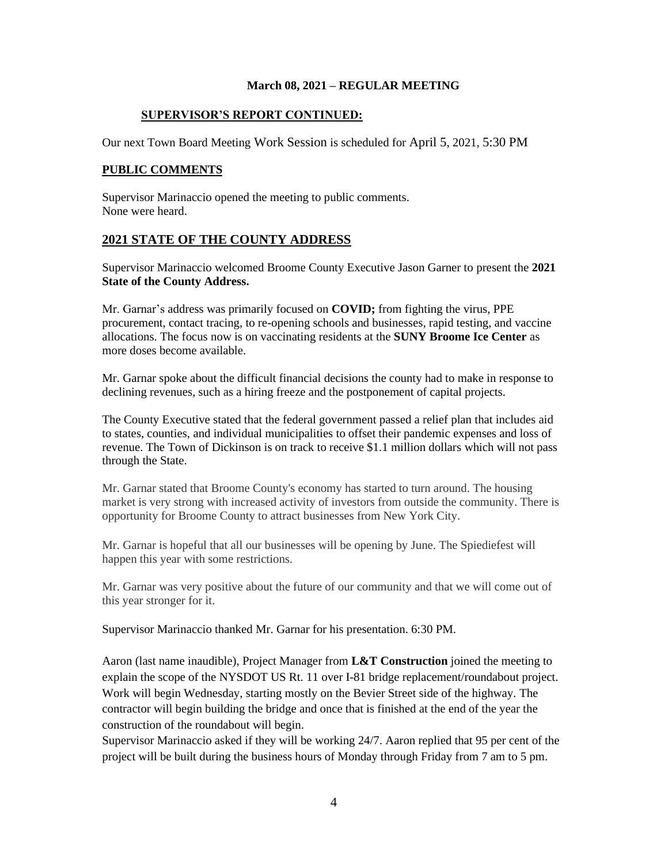## **SUPERVISOR'S REPORT CONTINUED:**

Our next Town Board Meeting Work Session is scheduled for April 5, 2021, 5:30 PM

# **PUBLIC COMMENTS**

Supervisor Marinaccio opened the meeting to public comments. None were heard.

# **2021 STATE OF THE COUNTY ADDRESS**

Supervisor Marinaccio welcomed Broome County Executive Jason Garner to present the **2021 State of the County Address.**

Mr. Garnar's address was primarily focused on **COVID;** from fighting the virus, PPE procurement, contact tracing, to re-opening schools and businesses, rapid testing, and vaccine allocations. The focus now is on vaccinating residents at the **SUNY Broome Ice Center** as more doses become available.

Mr. Garnar spoke about the difficult financial decisions the county had to make in response to declining revenues, such as a hiring freeze and the postponement of capital projects.

The County Executive stated that the federal government passed a relief plan that includes aid to states, counties, and individual municipalities to offset their pandemic expenses and loss of revenue. The Town of Dickinson is on track to receive \$1.1 million dollars which will not pass through the State.

Mr. Garnar stated that Broome County's economy has started to turn around. The housing market is very strong with increased activity of investors from outside the community. There is opportunity for Broome County to attract businesses from New York City.

Mr. Garnar is hopeful that all our businesses will be opening by June. The Spiediefest will happen this year with some restrictions.

Mr. Garnar was very positive about the future of our community and that we will come out of this year stronger for it.

Supervisor Marinaccio thanked Mr. Garnar for his presentation. 6:30 PM.

Aaron (last name inaudible), Project Manager from **L&T Construction** joined the meeting to explain the scope of the NYSDOT US Rt. 11 over I-81 bridge replacement/roundabout project. Work will begin Wednesday, starting mostly on the Bevier Street side of the highway. The contractor will begin building the bridge and once that is finished at the end of the year the construction of the roundabout will begin.

Supervisor Marinaccio asked if they will be working 24/7. Aaron replied that 95 per cent of the project will be built during the business hours of Monday through Friday from 7 am to 5 pm.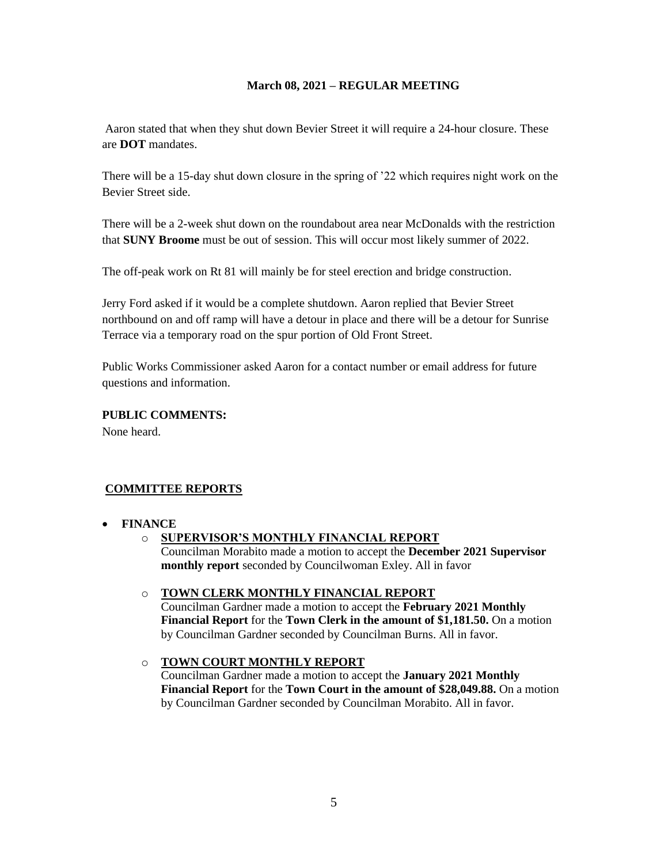Aaron stated that when they shut down Bevier Street it will require a 24-hour closure. These are **DOT** mandates.

There will be a 15-day shut down closure in the spring of '22 which requires night work on the Bevier Street side.

There will be a 2-week shut down on the roundabout area near McDonalds with the restriction that **SUNY Broome** must be out of session. This will occur most likely summer of 2022.

The off-peak work on Rt 81 will mainly be for steel erection and bridge construction.

Jerry Ford asked if it would be a complete shutdown. Aaron replied that Bevier Street northbound on and off ramp will have a detour in place and there will be a detour for Sunrise Terrace via a temporary road on the spur portion of Old Front Street.

Public Works Commissioner asked Aaron for a contact number or email address for future questions and information.

# **PUBLIC COMMENTS:**

None heard.

# **COMMITTEE REPORTS**

# • **FINANCE**

o **SUPERVISOR'S MONTHLY FINANCIAL REPORT** Councilman Morabito made a motion to accept the **December 2021 Supervisor monthly report** seconded by Councilwoman Exley. All in favor

# o **TOWN CLERK MONTHLY FINANCIAL REPORT**

Councilman Gardner made a motion to accept the **February 2021 Monthly Financial Report** for the **Town Clerk in the amount of \$1,181.50.** On a motion by Councilman Gardner seconded by Councilman Burns. All in favor.

# o **TOWN COURT MONTHLY REPORT** Councilman Gardner made a motion to accept the **January 2021 Monthly Financial Report** for the **Town Court in the amount of \$28,049.88.** On a motion

by Councilman Gardner seconded by Councilman Morabito. All in favor.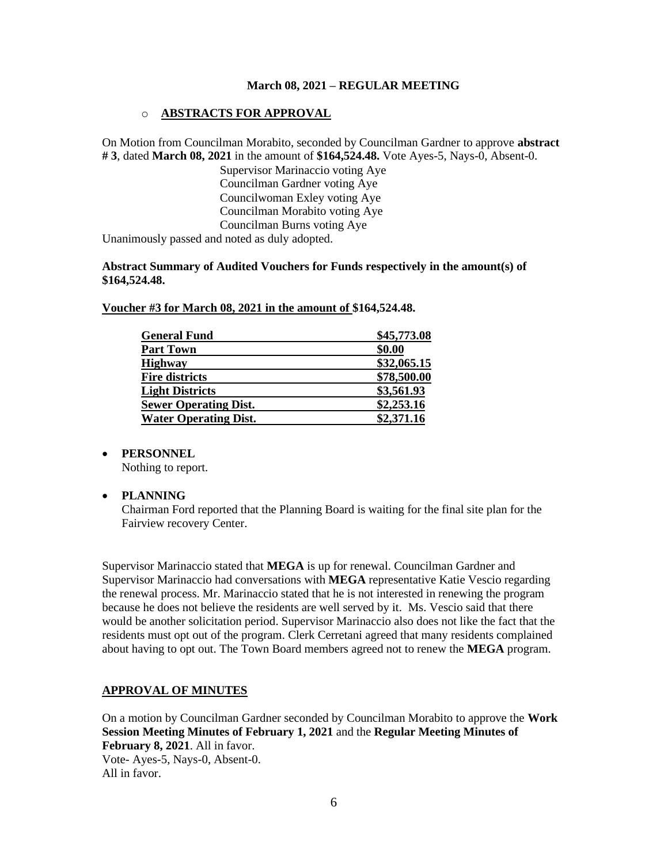# o **ABSTRACTS FOR APPROVAL**

On Motion from Councilman Morabito, seconded by Councilman Gardner to approve **abstract # 3**, dated **March 08, 2021** in the amount of **\$164,524.48.** Vote Ayes-5, Nays-0, Absent-0.

> Supervisor Marinaccio voting Aye Councilman Gardner voting Aye Councilwoman Exley voting Aye Councilman Morabito voting Aye Councilman Burns voting Aye

Unanimously passed and noted as duly adopted.

## **Abstract Summary of Audited Vouchers for Funds respectively in the amount(s) of \$164,524.48.**

| <b>General Fund</b>          | \$45,773.08 |
|------------------------------|-------------|
| <b>Part Town</b>             | \$0.00      |
| <b>Highway</b>               | \$32,065.15 |
| <b>Fire districts</b>        | \$78,500.00 |
| <b>Light Districts</b>       | \$3,561.93  |
| <b>Sewer Operating Dist.</b> | \$2,253.16  |
| <b>Water Operating Dist.</b> | \$2,371.16  |

#### **Voucher #3 for March 08, 2021 in the amount of \$164,524.48.**

#### • **PERSONNEL**

Nothing to report.

# • **PLANNING**

Chairman Ford reported that the Planning Board is waiting for the final site plan for the Fairview recovery Center.

Supervisor Marinaccio stated that **MEGA** is up for renewal. Councilman Gardner and Supervisor Marinaccio had conversations with **MEGA** representative Katie Vescio regarding the renewal process. Mr. Marinaccio stated that he is not interested in renewing the program because he does not believe the residents are well served by it. Ms. Vescio said that there would be another solicitation period. Supervisor Marinaccio also does not like the fact that the residents must opt out of the program. Clerk Cerretani agreed that many residents complained about having to opt out. The Town Board members agreed not to renew the **MEGA** program.

#### **APPROVAL OF MINUTES**

On a motion by Councilman Gardner seconded by Councilman Morabito to approve the **Work Session Meeting Minutes of February 1, 2021** and the **Regular Meeting Minutes of February 8, 2021**. All in favor. Vote- Ayes-5, Nays-0, Absent-0. All in favor.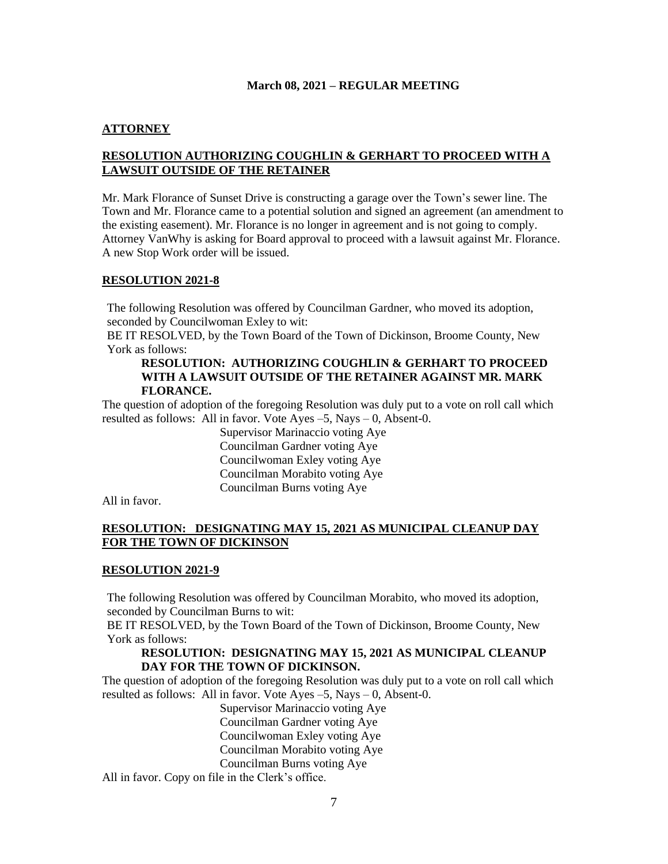# **ATTORNEY**

# **RESOLUTION AUTHORIZING COUGHLIN & GERHART TO PROCEED WITH A LAWSUIT OUTSIDE OF THE RETAINER**

Mr. Mark Florance of Sunset Drive is constructing a garage over the Town's sewer line. The Town and Mr. Florance came to a potential solution and signed an agreement (an amendment to the existing easement). Mr. Florance is no longer in agreement and is not going to comply. Attorney VanWhy is asking for Board approval to proceed with a lawsuit against Mr. Florance. A new Stop Work order will be issued.

#### **RESOLUTION 2021-8**

The following Resolution was offered by Councilman Gardner, who moved its adoption, seconded by Councilwoman Exley to wit:

BE IT RESOLVED, by the Town Board of the Town of Dickinson, Broome County, New York as follows:

### **RESOLUTION: AUTHORIZING COUGHLIN & GERHART TO PROCEED WITH A LAWSUIT OUTSIDE OF THE RETAINER AGAINST MR. MARK FLORANCE.**

The question of adoption of the foregoing Resolution was duly put to a vote on roll call which resulted as follows: All in favor. Vote Ayes –5, Nays – 0, Absent-0.

> Supervisor Marinaccio voting Aye Councilman Gardner voting Aye Councilwoman Exley voting Aye Councilman Morabito voting Aye Councilman Burns voting Aye

All in favor.

# **RESOLUTION: DESIGNATING MAY 15, 2021 AS MUNICIPAL CLEANUP DAY FOR THE TOWN OF DICKINSON**

#### **RESOLUTION 2021-9**

The following Resolution was offered by Councilman Morabito, who moved its adoption, seconded by Councilman Burns to wit:

BE IT RESOLVED, by the Town Board of the Town of Dickinson, Broome County, New York as follows:

### **RESOLUTION: DESIGNATING MAY 15, 2021 AS MUNICIPAL CLEANUP DAY FOR THE TOWN OF DICKINSON.**

The question of adoption of the foregoing Resolution was duly put to a vote on roll call which resulted as follows: All in favor. Vote Ayes –5, Nays – 0, Absent-0.

Supervisor Marinaccio voting Aye Councilman Gardner voting Aye Councilwoman Exley voting Aye Councilman Morabito voting Aye Councilman Burns voting Aye

All in favor. Copy on file in the Clerk's office.